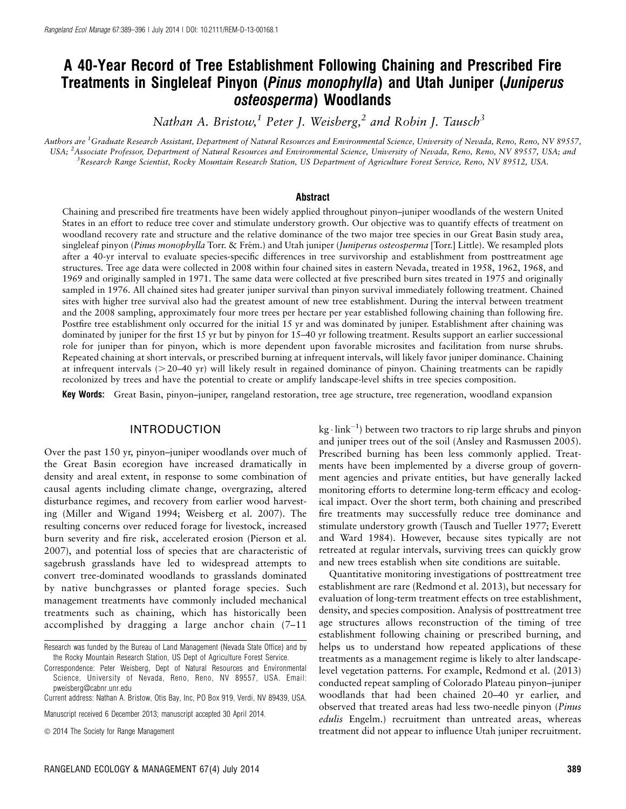# A 40-Year Record of Tree Establishment Following Chaining and Prescribed Fire Treatments in Singleleaf Pinyon (Pinus monophylla) and Utah Juniper (Juniperus osteosperma) Woodlands

Nathan A. Bristow,<sup>1</sup> Peter J. Weisberg,<sup>2</sup> and Robin J. Tausch<sup>3</sup>

Authors are <sup>1</sup>Graduate Research Assistant, Department of Natural Resources and Environmental Science, University of Nevada, Reno, Reno, NV 89557, USA; <sup>2</sup>Associate Professor, Department of Natural Resources and Environmental Science, University of Nevada, Reno, Reno, NV 89557, USA; and <sup>3</sup> Research Range Scientist, Rocky Mountain Research Station, US Department of Agriculture Forest Service, Reno, NV 89512, USA.

#### Abstract

Chaining and prescribed fire treatments have been widely applied throughout pinyon–juniper woodlands of the western United States in an effort to reduce tree cover and stimulate understory growth. Our objective was to quantify effects of treatment on woodland recovery rate and structure and the relative dominance of the two major tree species in our Great Basin study area, singleleaf pinyon (Pinus monophylla Torr. & Frém.) and Utah juniper (Juniperus osteosperma [Torr.] Little). We resampled plots after a 40-yr interval to evaluate species-specific differences in tree survivorship and establishment from posttreatment age structures. Tree age data were collected in 2008 within four chained sites in eastern Nevada, treated in 1958, 1962, 1968, and 1969 and originally sampled in 1971. The same data were collected at five prescribed burn sites treated in 1975 and originally sampled in 1976. All chained sites had greater juniper survival than pinyon survival immediately following treatment. Chained sites with higher tree survival also had the greatest amount of new tree establishment. During the interval between treatment and the 2008 sampling, approximately four more trees per hectare per year established following chaining than following fire. Postfire tree establishment only occurred for the initial 15 yr and was dominated by juniper. Establishment after chaining was dominated by juniper for the first 15 yr but by pinyon for 15–40 yr following treatment. Results support an earlier successional role for juniper than for pinyon, which is more dependent upon favorable microsites and facilitation from nurse shrubs. Repeated chaining at short intervals, or prescribed burning at infrequent intervals, will likely favor juniper dominance. Chaining at infrequent intervals  $($  > 20–40 yr) will likely result in regained dominance of pinyon. Chaining treatments can be rapidly recolonized by trees and have the potential to create or amplify landscape-level shifts in tree species composition.

Key Words: Great Basin, pinyon–juniper, rangeland restoration, tree age structure, tree regeneration, woodland expansion

#### INTRODUCTION

Over the past 150 yr, pinyon–juniper woodlands over much of the Great Basin ecoregion have increased dramatically in density and areal extent, in response to some combination of causal agents including climate change, overgrazing, altered disturbance regimes, and recovery from earlier wood harvesting (Miller and Wigand 1994; Weisberg et al. 2007). The resulting concerns over reduced forage for livestock, increased burn severity and fire risk, accelerated erosion (Pierson et al. 2007), and potential loss of species that are characteristic of sagebrush grasslands have led to widespread attempts to convert tree-dominated woodlands to grasslands dominated by native bunchgrasses or planted forage species. Such management treatments have commonly included mechanical treatments such as chaining, which has historically been accomplished by dragging a large anchor chain (7–11

Current address: Nathan A. Bristow, Otis Bay, Inc, PO Box 919, Verdi, NV 89439, USA.

Manuscript received 6 December 2013; manuscript accepted 30 April 2014.

 $\text{kg}\cdot \text{link}^{-1}$ ) between two tractors to rip large shrubs and pinyon and juniper trees out of the soil (Ansley and Rasmussen 2005). Prescribed burning has been less commonly applied. Treatments have been implemented by a diverse group of government agencies and private entities, but have generally lacked monitoring efforts to determine long-term efficacy and ecological impact. Over the short term, both chaining and prescribed fire treatments may successfully reduce tree dominance and stimulate understory growth (Tausch and Tueller 1977; Everett and Ward 1984). However, because sites typically are not retreated at regular intervals, surviving trees can quickly grow and new trees establish when site conditions are suitable.

Quantitative monitoring investigations of posttreatment tree establishment are rare (Redmond et al. 2013), but necessary for evaluation of long-term treatment effects on tree establishment, density, and species composition. Analysis of posttreatment tree age structures allows reconstruction of the timing of tree establishment following chaining or prescribed burning, and helps us to understand how repeated applications of these treatments as a management regime is likely to alter landscapelevel vegetation patterns. For example, Redmond et al. (2013) conducted repeat sampling of Colorado Plateau pinyon–juniper woodlands that had been chained 20–40 yr earlier, and observed that treated areas had less two-needle pinyon (Pinus edulis Engelm.) recruitment than untreated areas, whereas treatment did not appear to influence Utah juniper recruitment.

Research was funded by the Bureau of Land Management (Nevada State Office) and by the Rocky Mountain Research Station, US Dept of Agriculture Forest Service.

Correspondence: Peter Weisberg, Dept of Natural Resources and Environmental Science, University of Nevada, Reno, Reno, NV 89557, USA. Email: pweisberg@cabnr.unr.edu

 $\odot$  2014 The Society for Range Management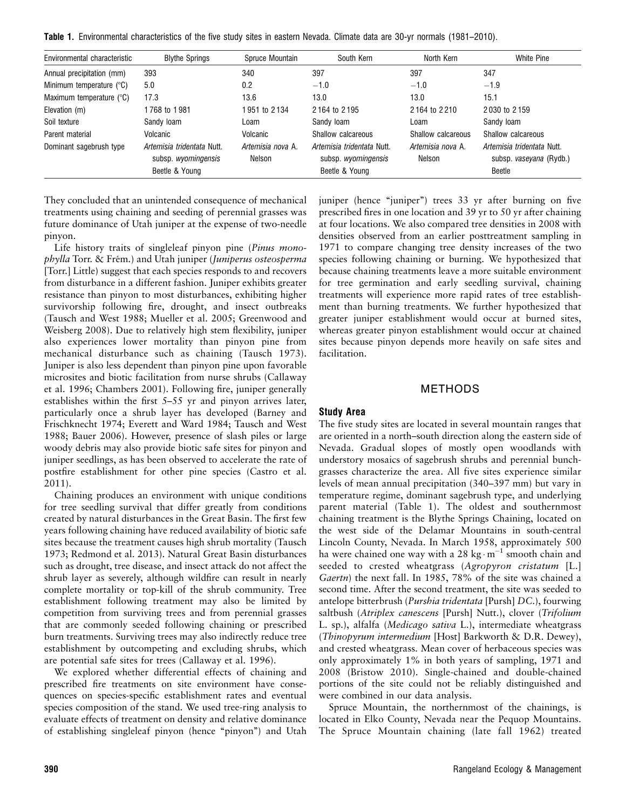| <b>Table 1.</b> Environmental characteristics of the five study sites in eastern Nevada. Climate data are 30-yr normals (1981–2010). |  |  |  |  |  |  |  |  |  |  |  |  |  |  |  |
|--------------------------------------------------------------------------------------------------------------------------------------|--|--|--|--|--|--|--|--|--|--|--|--|--|--|--|
|--------------------------------------------------------------------------------------------------------------------------------------|--|--|--|--|--|--|--|--|--|--|--|--|--|--|--|

| Environmental characteristic | <b>Blythe Springs</b>                                               | Spruce Mountain             | South Kern                                                          | North Kern                  | White Pine                                                      |
|------------------------------|---------------------------------------------------------------------|-----------------------------|---------------------------------------------------------------------|-----------------------------|-----------------------------------------------------------------|
| Annual precipitation (mm)    | 393                                                                 | 340                         | 397                                                                 | 397                         | 347                                                             |
| Minimum temperature (°C)     | 5.0                                                                 | 0.2                         | $-1.0$                                                              | $-1.0$                      | $-1.9$                                                          |
| Maximum temperature (°C)     | 17.3                                                                | 13.6                        | 13.0                                                                | 13.0                        | 15.1                                                            |
| Elevation (m)                | 1768 to 1981                                                        | 1951 to 2134                | 2164 to 2195                                                        | 2164 to 2210                | 2030 to 2159                                                    |
| Soil texture                 | Sandy Ioam                                                          | Loam                        | Sandy loam                                                          | Loam                        | Sandy loam                                                      |
| Parent material              | Volcanic                                                            | Volcanic                    | Shallow calcareous                                                  | Shallow calcareous          | Shallow calcareous                                              |
| Dominant sagebrush type      | Artemisia tridentata Nutt.<br>subsp. wyomingensis<br>Beetle & Young | Artemisia nova A.<br>Nelson | Artemisia tridentata Nutt.<br>subsp. wyomingensis<br>Beetle & Young | Artemisia nova A.<br>Nelson | Artemisia tridentata Nutt.<br>subsp. vaseyana (Rydb.)<br>Beetle |

They concluded that an unintended consequence of mechanical treatments using chaining and seeding of perennial grasses was future dominance of Utah juniper at the expense of two-needle pinyon.

Life history traits of singleleaf pinyon pine (Pinus monophylla Torr. & Frém.) and Utah juniper (Juniperus osteosperma [Torr.] Little) suggest that each species responds to and recovers from disturbance in a different fashion. Juniper exhibits greater resistance than pinyon to most disturbances, exhibiting higher survivorship following fire, drought, and insect outbreaks (Tausch and West 1988; Mueller et al. 2005; Greenwood and Weisberg 2008). Due to relatively high stem flexibility, juniper also experiences lower mortality than pinyon pine from mechanical disturbance such as chaining (Tausch 1973). Juniper is also less dependent than pinyon pine upon favorable microsites and biotic facilitation from nurse shrubs (Callaway et al. 1996; Chambers 2001). Following fire, juniper generally establishes within the first 5–55 yr and pinyon arrives later, particularly once a shrub layer has developed (Barney and Frischknecht 1974; Everett and Ward 1984; Tausch and West 1988; Bauer 2006). However, presence of slash piles or large woody debris may also provide biotic safe sites for pinyon and juniper seedlings, as has been observed to accelerate the rate of postfire establishment for other pine species (Castro et al. 2011).

Chaining produces an environment with unique conditions for tree seedling survival that differ greatly from conditions created by natural disturbances in the Great Basin. The first few years following chaining have reduced availability of biotic safe sites because the treatment causes high shrub mortality (Tausch 1973; Redmond et al. 2013). Natural Great Basin disturbances such as drought, tree disease, and insect attack do not affect the shrub layer as severely, although wildfire can result in nearly complete mortality or top-kill of the shrub community. Tree establishment following treatment may also be limited by competition from surviving trees and from perennial grasses that are commonly seeded following chaining or prescribed burn treatments. Surviving trees may also indirectly reduce tree establishment by outcompeting and excluding shrubs, which are potential safe sites for trees (Callaway et al. 1996).

We explored whether differential effects of chaining and prescribed fire treatments on site environment have consequences on species-specific establishment rates and eventual species composition of the stand. We used tree-ring analysis to evaluate effects of treatment on density and relative dominance of establishing singleleaf pinyon (hence ''pinyon'') and Utah juniper (hence "juniper") trees 33 yr after burning on five prescribed fires in one location and 39 yr to 50 yr after chaining at four locations. We also compared tree densities in 2008 with densities observed from an earlier posttreatment sampling in 1971 to compare changing tree density increases of the two species following chaining or burning. We hypothesized that because chaining treatments leave a more suitable environment for tree germination and early seedling survival, chaining treatments will experience more rapid rates of tree establishment than burning treatments. We further hypothesized that greater juniper establishment would occur at burned sites, whereas greater pinyon establishment would occur at chained sites because pinyon depends more heavily on safe sites and facilitation.

## METHODS

## Study Area

The five study sites are located in several mountain ranges that are oriented in a north–south direction along the eastern side of Nevada. Gradual slopes of mostly open woodlands with understory mosaics of sagebrush shrubs and perennial bunchgrasses characterize the area. All five sites experience similar levels of mean annual precipitation (340–397 mm) but vary in temperature regime, dominant sagebrush type, and underlying parent material (Table 1). The oldest and southernmost chaining treatment is the Blythe Springs Chaining, located on the west side of the Delamar Mountains in south-central Lincoln County, Nevada. In March 1958, approximately 500 ha were chained one way with a 28 kg $\cdot$  m<sup>-1</sup> smooth chain and seeded to crested wheatgrass (Agropyron cristatum [L.] Gaertn) the next fall. In 1985, 78% of the site was chained a second time. After the second treatment, the site was seeded to antelope bitterbrush (Purshia tridentata [Pursh] DC.), fourwing saltbush (Atriplex canescens [Pursh] Nutt.), clover (Trifolium L. sp.), alfalfa (Medicago sativa L.), intermediate wheatgrass (Thinopyrum intermedium [Host] Barkworth & D.R. Dewey), and crested wheatgrass. Mean cover of herbaceous species was only approximately 1% in both years of sampling, 1971 and 2008 (Bristow 2010). Single-chained and double-chained portions of the site could not be reliably distinguished and were combined in our data analysis.

Spruce Mountain, the northernmost of the chainings, is located in Elko County, Nevada near the Pequop Mountains. The Spruce Mountain chaining (late fall 1962) treated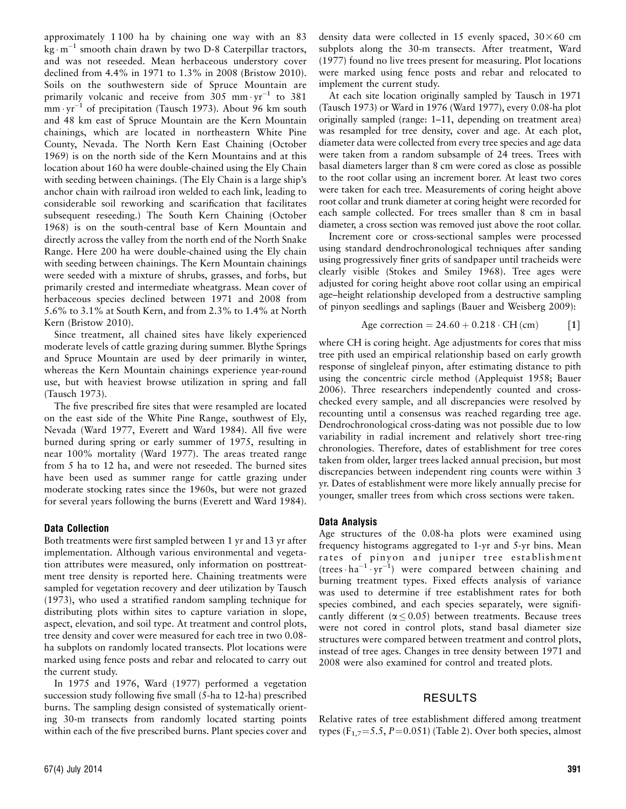approximately 1 100 ha by chaining one way with an 83  $\text{kg} \cdot \text{m}^{-1}$  smooth chain drawn by two D-8 Caterpillar tractors, and was not reseeded. Mean herbaceous understory cover declined from 4.4% in 1971 to 1.3% in 2008 (Bristow 2010). Soils on the southwestern side of Spruce Mountain are primarily volcanic and receive from  $305$  mm $\cdot$ yr<sup>-1</sup> to  $381$  $m_{\text{m}} \cdot \text{yr}^{-1}$  of precipitation (Tausch 1973). About 96 km south and 48 km east of Spruce Mountain are the Kern Mountain chainings, which are located in northeastern White Pine County, Nevada. The North Kern East Chaining (October 1969) is on the north side of the Kern Mountains and at this location about 160 ha were double-chained using the Ely Chain with seeding between chainings. (The Ely Chain is a large ship's anchor chain with railroad iron welded to each link, leading to considerable soil reworking and scarification that facilitates subsequent reseeding.) The South Kern Chaining (October 1968) is on the south-central base of Kern Mountain and directly across the valley from the north end of the North Snake Range. Here 200 ha were double-chained using the Ely chain with seeding between chainings. The Kern Mountain chainings were seeded with a mixture of shrubs, grasses, and forbs, but primarily crested and intermediate wheatgrass. Mean cover of herbaceous species declined between 1971 and 2008 from 5.6% to 3.1% at South Kern, and from 2.3% to 1.4% at North Kern (Bristow 2010).

Since treatment, all chained sites have likely experienced moderate levels of cattle grazing during summer. Blythe Springs and Spruce Mountain are used by deer primarily in winter, whereas the Kern Mountain chainings experience year-round use, but with heaviest browse utilization in spring and fall (Tausch 1973).

The five prescribed fire sites that were resampled are located on the east side of the White Pine Range, southwest of Ely, Nevada (Ward 1977, Everett and Ward 1984). All five were burned during spring or early summer of 1975, resulting in near 100% mortality (Ward 1977). The areas treated range from 5 ha to 12 ha, and were not reseeded. The burned sites have been used as summer range for cattle grazing under moderate stocking rates since the 1960s, but were not grazed for several years following the burns (Everett and Ward 1984).

## Data Collection

Both treatments were first sampled between 1 yr and 13 yr after implementation. Although various environmental and vegetation attributes were measured, only information on posttreatment tree density is reported here. Chaining treatments were sampled for vegetation recovery and deer utilization by Tausch (1973), who used a stratified random sampling technique for distributing plots within sites to capture variation in slope, aspect, elevation, and soil type. At treatment and control plots, tree density and cover were measured for each tree in two 0.08 ha subplots on randomly located transects. Plot locations were marked using fence posts and rebar and relocated to carry out the current study.

In 1975 and 1976, Ward (1977) performed a vegetation succession study following five small (5-ha to 12-ha) prescribed burns. The sampling design consisted of systematically orienting 30-m transects from randomly located starting points within each of the five prescribed burns. Plant species cover and

At each site location originally sampled by Tausch in 1971 (Tausch 1973) or Ward in 1976 (Ward 1977), every 0.08-ha plot originally sampled (range: 1–11, depending on treatment area) was resampled for tree density, cover and age. At each plot, diameter data were collected from every tree species and age data were taken from a random subsample of 24 trees. Trees with basal diameters larger than 8 cm were cored as close as possible to the root collar using an increment borer. At least two cores were taken for each tree. Measurements of coring height above root collar and trunk diameter at coring height were recorded for each sample collected. For trees smaller than 8 cm in basal diameter, a cross section was removed just above the root collar.

Increment core or cross-sectional samples were processed using standard dendrochronological techniques after sanding using progressively finer grits of sandpaper until tracheids were clearly visible (Stokes and Smiley 1968). Tree ages were adjusted for coring height above root collar using an empirical age–height relationship developed from a destructive sampling of pinyon seedlings and saplings (Bauer and Weisberg 2009):

Age correction = 
$$
24.60 + 0.218 \cdot CH \, (cm)
$$
 [1]

where CH is coring height. Age adjustments for cores that miss tree pith used an empirical relationship based on early growth response of singleleaf pinyon, after estimating distance to pith using the concentric circle method (Applequist 1958; Bauer 2006). Three researchers independently counted and crosschecked every sample, and all discrepancies were resolved by recounting until a consensus was reached regarding tree age. Dendrochronological cross-dating was not possible due to low variability in radial increment and relatively short tree-ring chronologies. Therefore, dates of establishment for tree cores taken from older, larger trees lacked annual precision, but most discrepancies between independent ring counts were within 3 yr. Dates of establishment were more likely annually precise for younger, smaller trees from which cross sections were taken.

#### Data Analysis

Age structures of the 0.08-ha plots were examined using frequency histograms aggregated to 1-yr and 5-yr bins. Mean rates of pinyon and juniper tree establishment  $(trees \cdot ha^{-1} \cdot yr^{-1})$  were compared between chaining and burning treatment types. Fixed effects analysis of variance was used to determine if tree establishment rates for both species combined, and each species separately, were significantly different ( $\alpha \leq 0.05$ ) between treatments. Because trees were not cored in control plots, stand basal diameter size structures were compared between treatment and control plots, instead of tree ages. Changes in tree density between 1971 and 2008 were also examined for control and treated plots.

## RESULTS

Relative rates of tree establishment differed among treatment types ( $F_{1,7}$ =5.5, P=0.051) (Table 2). Over both species, almost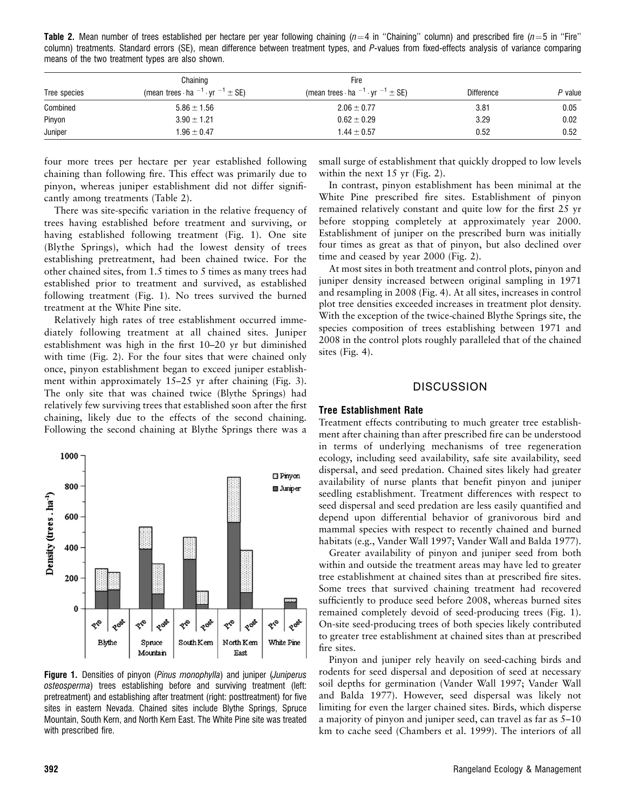**Table 2.** Mean number of trees established per hectare per year following chaining ( $n=4$  in "Chaining" column) and prescribed fire ( $n=5$  in "Fire" column) treatments. Standard errors (SE), mean difference between treatment types, and P-values from fixed-effects analysis of variance comparing means of the two treatment types are also shown.

|              | Chaining                                                | Fire                                                    |                   |         |  |
|--------------|---------------------------------------------------------|---------------------------------------------------------|-------------------|---------|--|
| Tree species | (mean trees $\cdot$ ha $^{-1} \cdot$ yr $^{-1} \pm$ SE) | (mean trees $\cdot$ ha $^{-1} \cdot$ yr $^{-1} \pm$ SE) | <b>Difference</b> | P value |  |
| Combined     | $5.86 \pm 1.56$                                         | $2.06 \pm 0.77$                                         | 3.81              | 0.05    |  |
| Pinyon       | $3.90 \pm 1.21$                                         | $0.62 \pm 0.29$                                         | 3.29              | 0.02    |  |
| Juniper      | $1.96 \pm 0.47$                                         | $1.44 \pm 0.57$                                         | 0.52              | 0.52    |  |

four more trees per hectare per year established following chaining than following fire. This effect was primarily due to pinyon, whereas juniper establishment did not differ significantly among treatments (Table 2).

There was site-specific variation in the relative frequency of trees having established before treatment and surviving, or having established following treatment (Fig. 1). One site (Blythe Springs), which had the lowest density of trees establishing pretreatment, had been chained twice. For the other chained sites, from 1.5 times to 5 times as many trees had established prior to treatment and survived, as established following treatment (Fig. 1). No trees survived the burned treatment at the White Pine site.

Relatively high rates of tree establishment occurred immediately following treatment at all chained sites. Juniper establishment was high in the first 10–20 yr but diminished with time (Fig. 2). For the four sites that were chained only once, pinyon establishment began to exceed juniper establishment within approximately 15–25 yr after chaining (Fig. 3). The only site that was chained twice (Blythe Springs) had relatively few surviving trees that established soon after the first chaining, likely due to the effects of the second chaining. Following the second chaining at Blythe Springs there was a



Figure 1. Densities of pinyon (Pinus monophylla) and juniper (Juniperus osteosperma) trees establishing before and surviving treatment (left: pretreatment) and establishing after treatment (right: posttreatment) for five sites in eastern Nevada. Chained sites include Blythe Springs, Spruce Mountain, South Kern, and North Kern East. The White Pine site was treated with prescribed fire.

small surge of establishment that quickly dropped to low levels within the next 15 yr (Fig. 2).

In contrast, pinyon establishment has been minimal at the White Pine prescribed fire sites. Establishment of pinyon remained relatively constant and quite low for the first 25 yr before stopping completely at approximately year 2000. Establishment of juniper on the prescribed burn was initially four times as great as that of pinyon, but also declined over time and ceased by year 2000 (Fig. 2).

At most sites in both treatment and control plots, pinyon and juniper density increased between original sampling in 1971 and resampling in 2008 (Fig. 4). At all sites, increases in control plot tree densities exceeded increases in treatment plot density. With the exception of the twice-chained Blythe Springs site, the species composition of trees establishing between 1971 and 2008 in the control plots roughly paralleled that of the chained sites (Fig. 4).

## **DISCUSSION**

#### Tree Establishment Rate

Treatment effects contributing to much greater tree establishment after chaining than after prescribed fire can be understood in terms of underlying mechanisms of tree regeneration ecology, including seed availability, safe site availability, seed dispersal, and seed predation. Chained sites likely had greater availability of nurse plants that benefit pinyon and juniper seedling establishment. Treatment differences with respect to seed dispersal and seed predation are less easily quantified and depend upon differential behavior of granivorous bird and mammal species with respect to recently chained and burned habitats (e.g., Vander Wall 1997; Vander Wall and Balda 1977).

Greater availability of pinyon and juniper seed from both within and outside the treatment areas may have led to greater tree establishment at chained sites than at prescribed fire sites. Some trees that survived chaining treatment had recovered sufficiently to produce seed before 2008, whereas burned sites remained completely devoid of seed-producing trees (Fig. 1). On-site seed-producing trees of both species likely contributed to greater tree establishment at chained sites than at prescribed fire sites.

Pinyon and juniper rely heavily on seed-caching birds and rodents for seed dispersal and deposition of seed at necessary soil depths for germination (Vander Wall 1997; Vander Wall and Balda 1977). However, seed dispersal was likely not limiting for even the larger chained sites. Birds, which disperse a majority of pinyon and juniper seed, can travel as far as 5–10 km to cache seed (Chambers et al. 1999). The interiors of all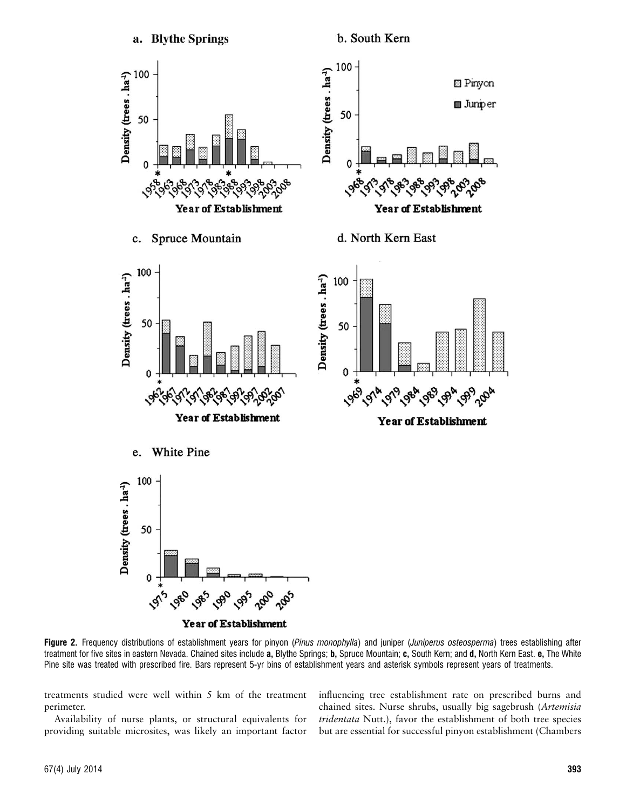

Year of Establishment

Figure 2. Frequency distributions of establishment years for pinyon (Pinus monophylla) and juniper (Juniperus osteosperma) trees establishing after treatment for five sites in eastern Nevada. Chained sites include a, Blythe Springs; b, Spruce Mountain; c, South Kern; and d, North Kern East. e, The White Pine site was treated with prescribed fire. Bars represent 5-yr bins of establishment years and asterisk symbols represent years of treatments.

treatments studied were well within 5 km of the treatment perimeter.

Availability of nurse plants, or structural equivalents for providing suitable microsites, was likely an important factor

influencing tree establishment rate on prescribed burns and chained sites. Nurse shrubs, usually big sagebrush (Artemisia tridentata Nutt.), favor the establishment of both tree species but are essential for successful pinyon establishment (Chambers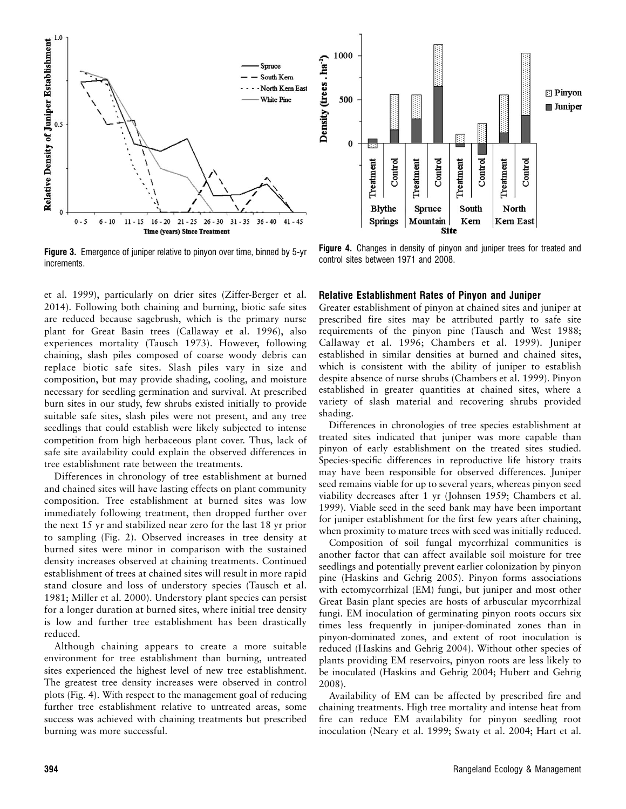

Figure 3. Emergence of juniper relative to pinyon over time, binned by 5-yr increments.

et al. 1999), particularly on drier sites (Ziffer-Berger et al. 2014). Following both chaining and burning, biotic safe sites are reduced because sagebrush, which is the primary nurse plant for Great Basin trees (Callaway et al. 1996), also experiences mortality (Tausch 1973). However, following chaining, slash piles composed of coarse woody debris can replace biotic safe sites. Slash piles vary in size and composition, but may provide shading, cooling, and moisture necessary for seedling germination and survival. At prescribed burn sites in our study, few shrubs existed initially to provide suitable safe sites, slash piles were not present, and any tree seedlings that could establish were likely subjected to intense competition from high herbaceous plant cover. Thus, lack of safe site availability could explain the observed differences in tree establishment rate between the treatments.

Differences in chronology of tree establishment at burned and chained sites will have lasting effects on plant community composition. Tree establishment at burned sites was low immediately following treatment, then dropped further over the next 15 yr and stabilized near zero for the last 18 yr prior to sampling (Fig. 2). Observed increases in tree density at burned sites were minor in comparison with the sustained density increases observed at chaining treatments. Continued establishment of trees at chained sites will result in more rapid stand closure and loss of understory species (Tausch et al. 1981; Miller et al. 2000). Understory plant species can persist for a longer duration at burned sites, where initial tree density is low and further tree establishment has been drastically reduced.

Although chaining appears to create a more suitable environment for tree establishment than burning, untreated sites experienced the highest level of new tree establishment. The greatest tree density increases were observed in control plots (Fig. 4). With respect to the management goal of reducing further tree establishment relative to untreated areas, some success was achieved with chaining treatments but prescribed burning was more successful.



Figure 4. Changes in density of pinyon and juniper trees for treated and control sites between 1971 and 2008.

#### Relative Establishment Rates of Pinyon and Juniper

Greater establishment of pinyon at chained sites and juniper at prescribed fire sites may be attributed partly to safe site requirements of the pinyon pine (Tausch and West 1988; Callaway et al. 1996; Chambers et al. 1999). Juniper established in similar densities at burned and chained sites, which is consistent with the ability of juniper to establish despite absence of nurse shrubs (Chambers et al. 1999). Pinyon established in greater quantities at chained sites, where a variety of slash material and recovering shrubs provided shading.

Differences in chronologies of tree species establishment at treated sites indicated that juniper was more capable than pinyon of early establishment on the treated sites studied. Species-specific differences in reproductive life history traits may have been responsible for observed differences. Juniper seed remains viable for up to several years, whereas pinyon seed viability decreases after 1 yr (Johnsen 1959; Chambers et al. 1999). Viable seed in the seed bank may have been important for juniper establishment for the first few years after chaining, when proximity to mature trees with seed was initially reduced.

Composition of soil fungal mycorrhizal communities is another factor that can affect available soil moisture for tree seedlings and potentially prevent earlier colonization by pinyon pine (Haskins and Gehrig 2005). Pinyon forms associations with ectomycorrhizal (EM) fungi, but juniper and most other Great Basin plant species are hosts of arbuscular mycorrhizal fungi. EM inoculation of germinating pinyon roots occurs six times less frequently in juniper-dominated zones than in pinyon-dominated zones, and extent of root inoculation is reduced (Haskins and Gehrig 2004). Without other species of plants providing EM reservoirs, pinyon roots are less likely to be inoculated (Haskins and Gehrig 2004; Hubert and Gehrig 2008).

Availability of EM can be affected by prescribed fire and chaining treatments. High tree mortality and intense heat from fire can reduce EM availability for pinyon seedling root inoculation (Neary et al. 1999; Swaty et al. 2004; Hart et al.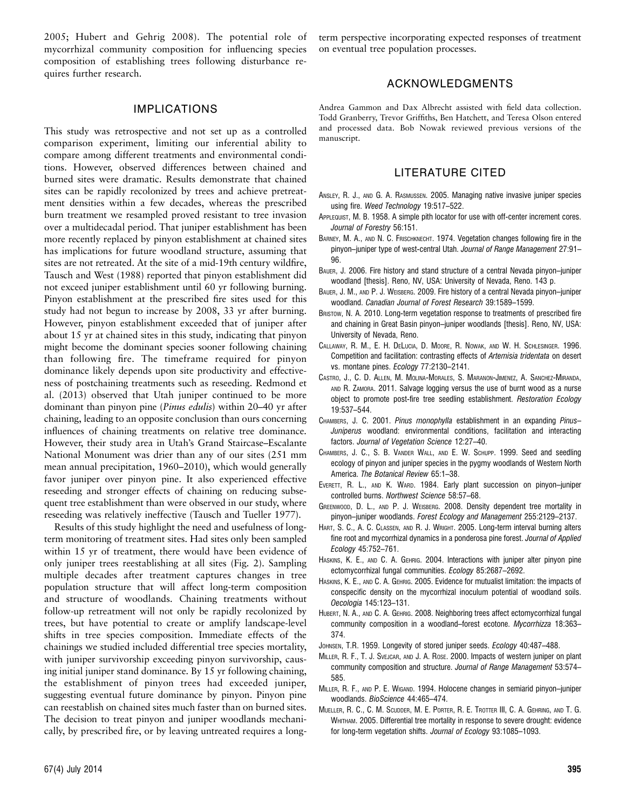2005; Hubert and Gehrig 2008). The potential role of mycorrhizal community composition for influencing species composition of establishing trees following disturbance requires further research.

## IMPLICATIONS

This study was retrospective and not set up as a controlled comparison experiment, limiting our inferential ability to compare among different treatments and environmental conditions. However, observed differences between chained and burned sites were dramatic. Results demonstrate that chained sites can be rapidly recolonized by trees and achieve pretreatment densities within a few decades, whereas the prescribed burn treatment we resampled proved resistant to tree invasion over a multidecadal period. That juniper establishment has been more recently replaced by pinyon establishment at chained sites has implications for future woodland structure, assuming that sites are not retreated. At the site of a mid-19th century wildfire, Tausch and West (1988) reported that pinyon establishment did not exceed juniper establishment until 60 yr following burning. Pinyon establishment at the prescribed fire sites used for this study had not begun to increase by 2008, 33 yr after burning. However, pinyon establishment exceeded that of juniper after about 15 yr at chained sites in this study, indicating that pinyon might become the dominant species sooner following chaining than following fire. The timeframe required for pinyon dominance likely depends upon site productivity and effectiveness of postchaining treatments such as reseeding. Redmond et al. (2013) observed that Utah juniper continued to be more dominant than pinyon pine (Pinus edulis) within 20–40 yr after chaining, leading to an opposite conclusion than ours concerning influences of chaining treatments on relative tree dominance. However, their study area in Utah's Grand Staircase–Escalante National Monument was drier than any of our sites (251 mm mean annual precipitation, 1960–2010), which would generally favor juniper over pinyon pine. It also experienced effective reseeding and stronger effects of chaining on reducing subsequent tree establishment than were observed in our study, where reseeding was relatively ineffective (Tausch and Tueller 1977).

Results of this study highlight the need and usefulness of longterm monitoring of treatment sites. Had sites only been sampled within 15 yr of treatment, there would have been evidence of only juniper trees reestablishing at all sites (Fig. 2). Sampling multiple decades after treatment captures changes in tree population structure that will affect long-term composition and structure of woodlands. Chaining treatments without follow-up retreatment will not only be rapidly recolonized by trees, but have potential to create or amplify landscape-level shifts in tree species composition. Immediate effects of the chainings we studied included differential tree species mortality, with juniper survivorship exceeding pinyon survivorship, causing initial juniper stand dominance. By 15 yr following chaining, the establishment of pinyon trees had exceeded juniper, suggesting eventual future dominance by pinyon. Pinyon pine can reestablish on chained sites much faster than on burned sites. The decision to treat pinyon and juniper woodlands mechanically, by prescribed fire, or by leaving untreated requires a longterm perspective incorporating expected responses of treatment on eventual tree population processes.

## ACKNOWLEDGMENTS

Andrea Gammon and Dax Albrecht assisted with field data collection. Todd Granberry, Trevor Griffiths, Ben Hatchett, and Teresa Olson entered and processed data. Bob Nowak reviewed previous versions of the manuscript.

#### LITERATURE CITED

- ANSLEY, R. J., AND G. A. RASMUSSEN. 2005. Managing native invasive juniper species using fire. Weed Technology 19:517–522.
- APPLEQUIST, M. B. 1958. A simple pith locator for use with off-center increment cores. Journal of Forestry 56:151.
- BARNEY, M. A., AND N. C. FRISCHKNECHT. 1974. Vegetation changes following fire in the pinyon–juniper type of west-central Utah. Journal of Range Management 27:91– 96.
- BAUER, J. 2006. Fire history and stand structure of a central Nevada pinyon–juniper woodland [thesis]. Reno, NV, USA: University of Nevada, Reno. 143 p.
- BAUER, J. M., AND P. J. WEISBERG. 2009. Fire history of a central Nevada pinyon–juniper woodland. Canadian Journal of Forest Research 39:1589–1599.
- BRISTOW, N. A. 2010. Long-term vegetation response to treatments of prescribed fire and chaining in Great Basin pinyon–juniper woodlands [thesis]. Reno, NV, USA: University of Nevada, Reno.
- CALLAWAY, R. M., E. H. DELUCIA, D. MOORE, R. NOWAK, AND W. H. SCHLESINGER. 1996. Competition and facilitation: contrasting effects of Artemisia tridentata on desert vs. montane pines. Ecology 77:2130–2141.
- CASTRO, J., C. D. ALLEN, M. MOLINA-MORALES, S. MARANON-JIMENEZ, A. SANCHEZ-MIRANDA, AND R. ZAMORA. 2011. Salvage logging versus the use of burnt wood as a nurse object to promote post-fire tree seedling establishment. Restoration Ecology 19:537–544.
- CHAMBERS, J. C. 2001. Pinus monophylla establishment in an expanding Pinus-Juniperus woodland: environmental conditions, facilitation and interacting factors. Journal of Vegetation Science 12:27–40.
- CHAMBERS, J. C., S. B. VANDER WALL, AND E. W. SCHUPP. 1999. Seed and seedling ecology of pinyon and juniper species in the pygmy woodlands of Western North America. The Botanical Review 65:1–38.
- EVERETT, R. L., AND K. WARD. 1984. Early plant succession on pinyon–juniper controlled burns. Northwest Science 58:57–68.
- GREENWOOD, D. L., AND P. J. WEISBERG. 2008. Density dependent tree mortality in pinyon–juniper woodlands. Forest Ecology and Management 255:2129–2137.
- HART, S. C., A. C. CLASSEN, AND R. J. WRIGHT. 2005. Long-term interval burning alters fine root and mycorrhizal dynamics in a ponderosa pine forest. Journal of Applied Ecology 45:752–761.
- HASKINS, K. E., AND C. A. GEHRIG. 2004. Interactions with juniper alter pinyon pine ectomycorrhizal fungal communities. Ecology 85:2687–2692.
- HASKINS, K. E., AND C. A. GEHRIG. 2005. Evidence for mutualist limitation: the impacts of conspecific density on the mycorrhizal inoculum potential of woodland soils. Oecologia 145:123–131.
- HUBERT, N. A., AND C. A. GEHRIG. 2008. Neighboring trees affect ectomycorrhizal fungal community composition in a woodland–forest ecotone. Mycorrhizza 18:363– 374.
- JOHNSEN, T.R. 1959. Longevity of stored juniper seeds. Ecology 40:487-488.
- MILLER, R. F., T. J. SVEJCAR, AND J. A. ROSE. 2000. Impacts of western juniper on plant community composition and structure. Journal of Range Management 53:574– 585.
- MILLER, R. F., AND P. E. WIGAND. 1994. Holocene changes in semiarid pinyon–juniper woodlands. BioScience 44:465–474.
- MUELLER, R. C., C. M. SCUDDER, M. E. PORTER, R. E. TROTTER III, C. A. GEHRING, AND T. G. WHITHAM. 2005. Differential tree mortality in response to severe drought: evidence for long-term vegetation shifts. Journal of Ecology 93:1085–1093.